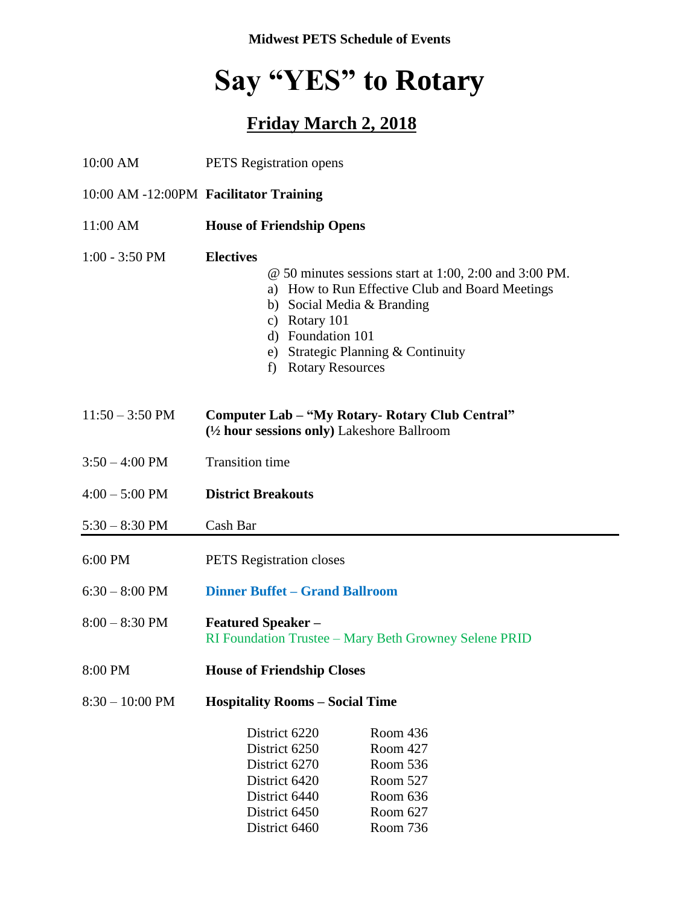**Midwest PETS Schedule of Events** 

## **Say "YES" to Rotary**

## **Friday March 2, 2018**

| 10:00 AM                  | <b>PETS</b> Registration opens                                                                                                                                                                                                                                                  |  |  |
|---------------------------|---------------------------------------------------------------------------------------------------------------------------------------------------------------------------------------------------------------------------------------------------------------------------------|--|--|
|                           | 10:00 AM -12:00PM Facilitator Training                                                                                                                                                                                                                                          |  |  |
| 11:00 AM                  | <b>House of Friendship Opens</b>                                                                                                                                                                                                                                                |  |  |
| $1:00 - 3:50$ PM          | <b>Electives</b><br>$\omega$ 50 minutes sessions start at 1:00, 2:00 and 3:00 PM.<br>a) How to Run Effective Club and Board Meetings<br>b) Social Media & Branding<br>c) Rotary 101<br>d) Foundation 101<br>e) Strategic Planning & Continuity<br><b>Rotary Resources</b><br>f) |  |  |
| $11:50 - 3:50 \text{ PM}$ | Computer Lab – "My Rotary- Rotary Club Central"<br>$(\frac{1}{2})$ hour sessions only) Lakeshore Ballroom                                                                                                                                                                       |  |  |
| $3:50 - 4:00$ PM          | <b>Transition time</b>                                                                                                                                                                                                                                                          |  |  |
| $4:00 - 5:00$ PM          | <b>District Breakouts</b>                                                                                                                                                                                                                                                       |  |  |
| $5:30 - 8:30$ PM          | Cash Bar                                                                                                                                                                                                                                                                        |  |  |
| 6:00 PM                   | <b>PETS</b> Registration closes                                                                                                                                                                                                                                                 |  |  |
| $6:30 - 8:00$ PM          | <b>Dinner Buffet - Grand Ballroom</b>                                                                                                                                                                                                                                           |  |  |
| $8:00 - 8:30$ PM          | <b>Featured Speaker -</b><br>RI Foundation Trustee - Mary Beth Growney Selene PRID                                                                                                                                                                                              |  |  |
| 8:00 PM                   | <b>House of Friendship Closes</b>                                                                                                                                                                                                                                               |  |  |
| $8:30 - 10:00$ PM         | <b>Hospitality Rooms – Social Time</b>                                                                                                                                                                                                                                          |  |  |
|                           | District 6220<br>Room 436<br>Room 427<br>District 6250<br>Room 536<br>District 6270<br>District 6420<br>Room 527<br>Room 636<br>District 6440<br>Room 627<br>District 6450<br>District 6460<br>Room 736                                                                         |  |  |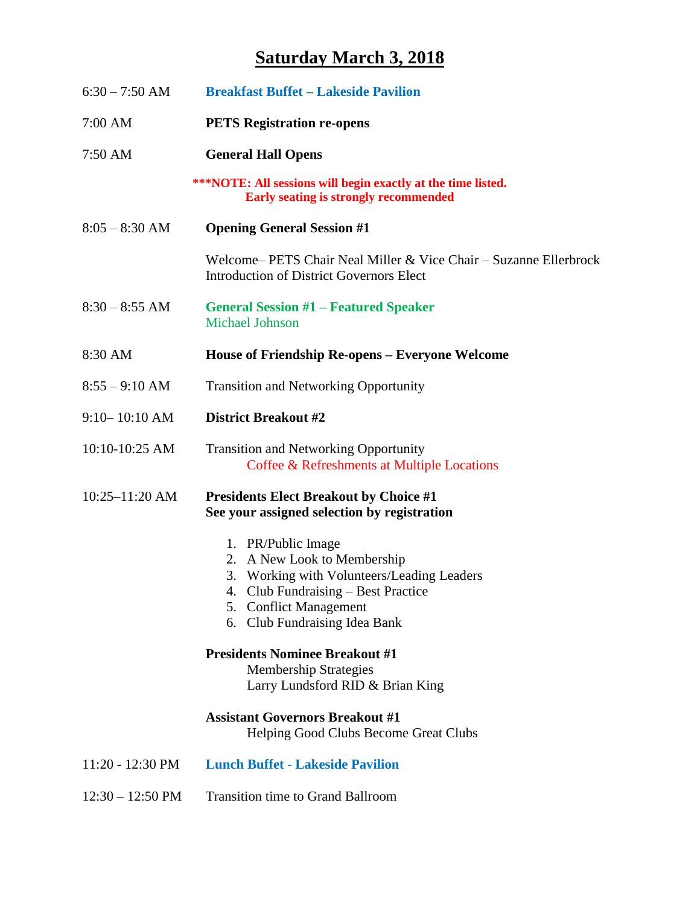## **Saturday March 3, 2018**

| $6:30 - 7:50$ AM           | <b>Breakfast Buffet – Lakeside Pavilion</b>                                                                                                                                                          |
|----------------------------|------------------------------------------------------------------------------------------------------------------------------------------------------------------------------------------------------|
| 7:00 AM                    | <b>PETS Registration re-opens</b>                                                                                                                                                                    |
| 7:50 AM                    | <b>General Hall Opens</b>                                                                                                                                                                            |
|                            | <b>***NOTE:</b> All sessions will begin exactly at the time listed.<br><b>Early seating is strongly recommended</b>                                                                                  |
| $8:05 - 8:30$ AM           | <b>Opening General Session #1</b>                                                                                                                                                                    |
|                            | Welcome– PETS Chair Neal Miller & Vice Chair – Suzanne Ellerbrock<br><b>Introduction of District Governors Elect</b>                                                                                 |
| $8:30 - 8:55$ AM           | <b>General Session #1 – Featured Speaker</b><br><b>Michael Johnson</b>                                                                                                                               |
| 8:30 AM                    | House of Friendship Re-opens – Everyone Welcome                                                                                                                                                      |
| $8:55 - 9:10$ AM           | <b>Transition and Networking Opportunity</b>                                                                                                                                                         |
| $9:10 - 10:10$ AM          | <b>District Breakout #2</b>                                                                                                                                                                          |
| 10:10-10:25 AM             | <b>Transition and Networking Opportunity</b><br>Coffee & Refreshments at Multiple Locations                                                                                                          |
| $10:25 - 11:20$ AM         | <b>Presidents Elect Breakout by Choice #1</b><br>See your assigned selection by registration                                                                                                         |
|                            | 1. PR/Public Image<br>2. A New Look to Membership<br>3. Working with Volunteers/Leading Leaders<br>4. Club Fundraising – Best Practice<br>5. Conflict Management<br>Club Fundraising Idea Bank<br>6. |
|                            | <b>Presidents Nominee Breakout #1</b><br><b>Membership Strategies</b><br>Larry Lundsford RID & Brian King                                                                                            |
|                            | <b>Assistant Governors Breakout #1</b><br>Helping Good Clubs Become Great Clubs                                                                                                                      |
| 11:20 - 12:30 PM           | <b>Lunch Buffet - Lakeside Pavilion</b>                                                                                                                                                              |
| $12:30 - 12:50 \text{ PM}$ | <b>Transition time to Grand Ballroom</b>                                                                                                                                                             |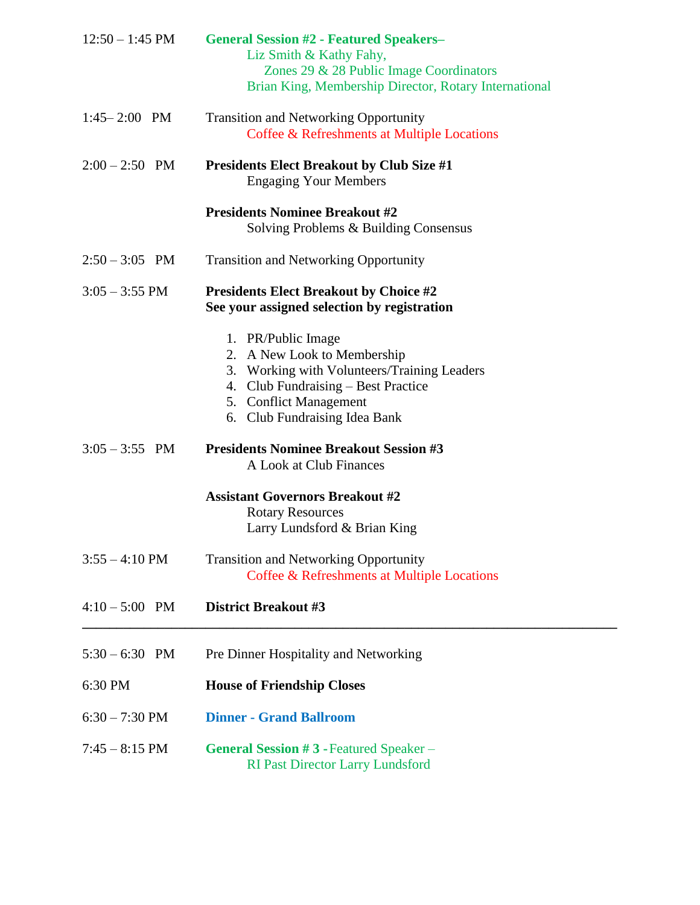| $12:50 - 1:45$ PM        | <b>General Session #2 - Featured Speakers-</b><br>Liz Smith & Kathy Fahy,<br>Zones 29 & 28 Public Image Coordinators<br>Brian King, Membership Director, Rotary International                      |
|--------------------------|----------------------------------------------------------------------------------------------------------------------------------------------------------------------------------------------------|
| $1:45 - 2:00$ PM         | <b>Transition and Networking Opportunity</b><br>Coffee & Refreshments at Multiple Locations                                                                                                        |
| $2:00 - 2:50$ PM         | <b>Presidents Elect Breakout by Club Size #1</b><br><b>Engaging Your Members</b>                                                                                                                   |
|                          | <b>Presidents Nominee Breakout #2</b><br>Solving Problems & Building Consensus                                                                                                                     |
| $2:50 - 3:05$ PM         | <b>Transition and Networking Opportunity</b>                                                                                                                                                       |
| $3:05 - 3:55$ PM         | <b>Presidents Elect Breakout by Choice #2</b><br>See your assigned selection by registration                                                                                                       |
|                          | 1. PR/Public Image<br>2. A New Look to Membership<br>3. Working with Volunteers/Training Leaders<br>4. Club Fundraising – Best Practice<br>5. Conflict Management<br>6. Club Fundraising Idea Bank |
| $3:05 - 3:55$ PM         | <b>Presidents Nominee Breakout Session #3</b><br>A Look at Club Finances                                                                                                                           |
|                          | <b>Assistant Governors Breakout #2</b><br><b>Rotary Resources</b><br>Larry Lundsford & Brian King                                                                                                  |
| $3:55 - 4:10 \text{ PM}$ | <b>Transition and Networking Opportunity</b><br>Coffee & Refreshments at Multiple Locations                                                                                                        |
| $4:10 - 5:00$ PM         | <b>District Breakout #3</b>                                                                                                                                                                        |
| $5:30 - 6:30$ PM         | Pre Dinner Hospitality and Networking                                                                                                                                                              |
| 6:30 PM                  | <b>House of Friendship Closes</b>                                                                                                                                                                  |
| $6:30 - 7:30$ PM         | <b>Dinner - Grand Ballroom</b>                                                                                                                                                                     |
| $7:45 - 8:15$ PM         | <b>General Session #3 - Featured Speaker –</b><br><b>RI Past Director Larry Lundsford</b>                                                                                                          |